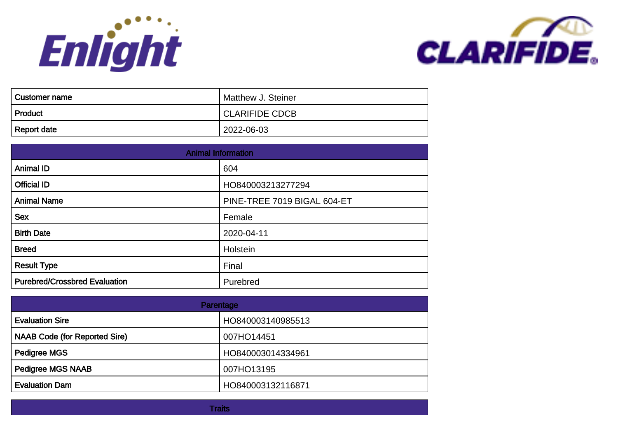



| <b>Customer name</b> | Matthew J. Steiner    |
|----------------------|-----------------------|
| Product              | <b>CLARIFIDE CDCB</b> |
| <b>Report date</b>   | 2022-06-03            |

| <b>Animal Information</b>            |                             |
|--------------------------------------|-----------------------------|
| <b>Animal ID</b>                     | 604                         |
| <b>Official ID</b>                   | HO840003213277294           |
| <b>Animal Name</b>                   | PINE-TREE 7019 BIGAL 604-ET |
| <b>Sex</b>                           | Female                      |
| <b>Birth Date</b>                    | 2020-04-11                  |
| <b>Breed</b>                         | Holstein                    |
| <b>Result Type</b>                   | Final                       |
| <b>Purebred/Crossbred Evaluation</b> | Purebred                    |

| Parentage                            |                   |
|--------------------------------------|-------------------|
| <b>Evaluation Sire</b>               | HO840003140985513 |
| <b>NAAB Code (for Reported Sire)</b> | 007HO14451        |
| <b>Pedigree MGS</b>                  | HO840003014334961 |
| <b>Pedigree MGS NAAB</b>             | 007HO13195        |
| <b>Evaluation Dam</b>                | HO840003132116871 |

**Traits**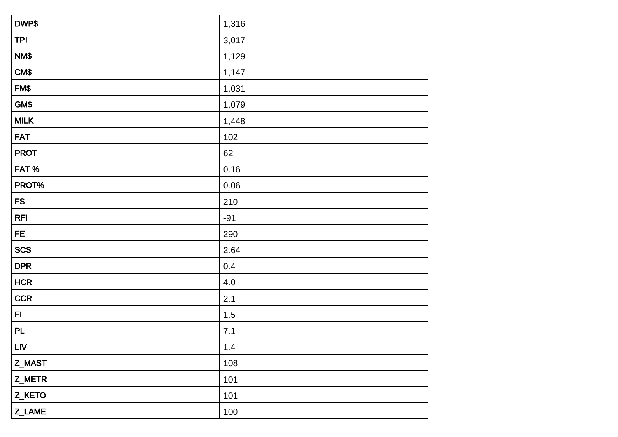| DWP\$       | 1,316 |
|-------------|-------|
| <b>TPI</b>  | 3,017 |
| NM\$        | 1,129 |
| CM\$        | 1,147 |
| FM\$        | 1,031 |
| GM\$        | 1,079 |
| <b>MILK</b> | 1,448 |
| <b>FAT</b>  | 102   |
| <b>PROT</b> | 62    |
| FAT%        | 0.16  |
| PROT%       | 0.06  |
| ${\sf FS}$  | 210   |
| <b>RFI</b>  | $-91$ |
| FE.         | 290   |
| <b>SCS</b>  | 2.64  |
| <b>DPR</b>  | 0.4   |
| <b>HCR</b>  | 4.0   |
| <b>CCR</b>  | 2.1   |
| F1          | $1.5$ |
| <b>PL</b>   | 7.1   |
| <b>LIV</b>  | $1.4$ |
| Z_MAST      | 108   |
| Z_METR      | 101   |
| Z_KETO      | 101   |
| Z_LAME      | 100   |
|             |       |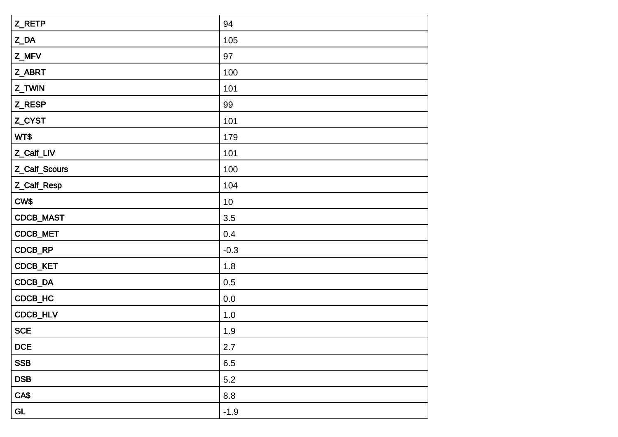| Z_RETP        | 94      |
|---------------|---------|
| Z_DA          | 105     |
| Z_MFV         | 97      |
| Z_ABRT        | 100     |
| Z_TWIN        | 101     |
| Z_RESP        | 99      |
| Z_CYST        | 101     |
| WT\$          | 179     |
| Z_Calf_LIV    | 101     |
| Z_Calf_Scours | 100     |
| Z_Calf_Resp   | 104     |
| CW\$          | 10      |
| CDCB_MAST     | 3.5     |
| CDCB_MET      | 0.4     |
| CDCB_RP       | $-0.3$  |
| CDCB_KET      | 1.8     |
| CDCB_DA       | 0.5     |
| CDCB_HC       | $0.0\,$ |
| CDCB_HLV      | 1.0     |
| <b>SCE</b>    | 1.9     |
| DCE           | 2.7     |
| <b>SSB</b>    | 6.5     |
| <b>DSB</b>    | 5.2     |
| CA\$          | 8.8     |
| GL            | $-1.9$  |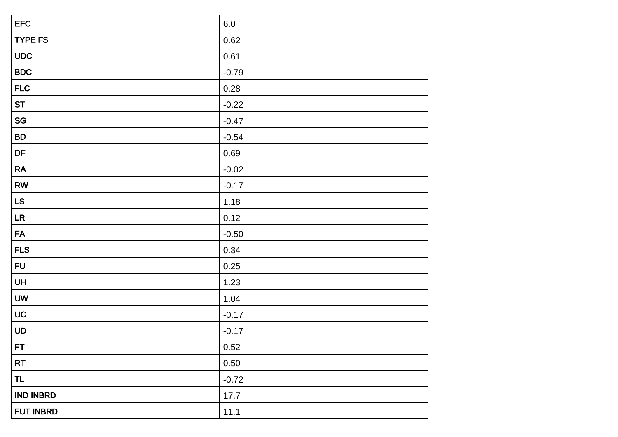| <b>EFC</b>       | $6.0\,$ |
|------------------|---------|
| <b>TYPE FS</b>   | 0.62    |
| <b>UDC</b>       | 0.61    |
| <b>BDC</b>       | $-0.79$ |
| <b>FLC</b>       | 0.28    |
| <b>ST</b>        | $-0.22$ |
| SG               | $-0.47$ |
| <b>BD</b>        | $-0.54$ |
| DF               | 0.69    |
| RA               | $-0.02$ |
| <b>RW</b>        | $-0.17$ |
| LS               | 1.18    |
| LR               | 0.12    |
| <b>FA</b>        | $-0.50$ |
| <b>FLS</b>       | 0.34    |
| <b>FU</b>        | 0.25    |
| UH               | 1.23    |
| <b>UW</b>        | 1.04    |
| UC               | $-0.17$ |
| UD               | $-0.17$ |
| FT               | 0.52    |
| <b>RT</b>        | 0.50    |
| <b>TL</b>        | $-0.72$ |
| <b>IND INBRD</b> | 17.7    |
| FUT INBRD        | 11.1    |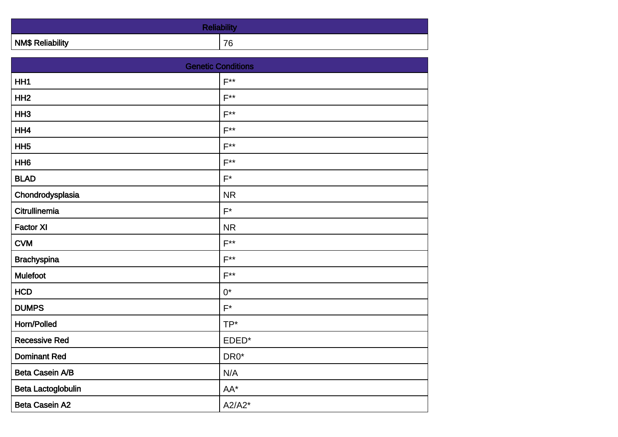| <b>NM\$ Reliability</b> | 76 |
|-------------------------|----|

| <b>Genetic Conditions</b> |                |
|---------------------------|----------------|
| HH1                       | $F^{**}$       |
| HH <sub>2</sub>           | $F^{**}$       |
| HH <sub>3</sub>           | $F^{**}$       |
| HH4                       | $F^{**}$       |
| HH <sub>5</sub>           | $F^{\ast\ast}$ |
| HH <sub>6</sub>           | $F^{\ast\ast}$ |
| <b>BLAD</b>               | $F^*$          |
| Chondrodysplasia          | <b>NR</b>      |
| Citrullinemia             | $F^*$          |
| <b>Factor XI</b>          | <b>NR</b>      |
| <b>CVM</b>                | $F^{\ast\ast}$ |
| <b>Brachyspina</b>        | $F^{**}$       |
| <b>Mulefoot</b>           | $F^{**}$       |
| <b>HCD</b>                | $0^*$          |
| <b>DUMPS</b>              | $F^*$          |
| Horn/Polled               | TP*            |
| <b>Recessive Red</b>      | EDED*          |
| <b>Dominant Red</b>       | $DRO^*$        |
| Beta Casein A/B           | N/A            |
| Beta Lactoglobulin        | AA*            |
| <b>Beta Casein A2</b>     | $A2/A2*$       |